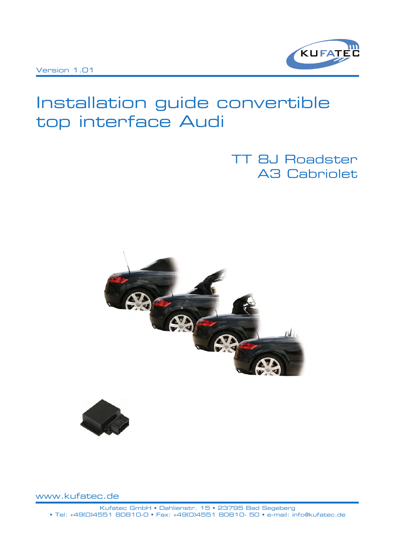

# Installation guide convertible top interface Audi

## TT 8J Roadster A3 Cabriolet





www.kufatec.de

Kufatec GmbH • Dahlienstr. 15 • 23795 Bad Segeberg • Tel: +49(0)4551 80810-0 • Fax: +49(0)4551 80810- 50 • e-mail: info@kufatec.de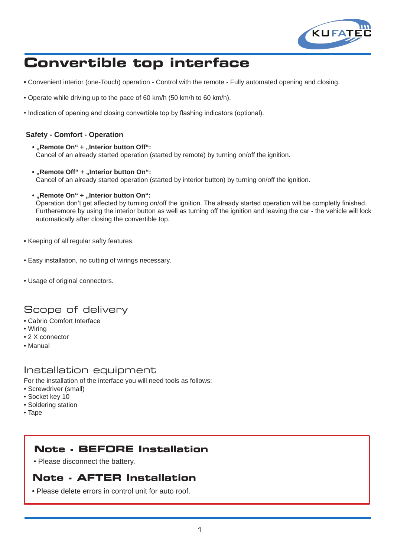

# **Convertible top interface**

- Convenient interior (one-Touch) operation Control with the remote Fully automated opening and closing.
- Operate while driving up to the pace of 60 km/h (50 km/h to 60 km/h).
- Indication of opening and closing convertible top by flashing indicators (optional).

#### **Safety - Comfort - Operation**

- "Remote On" + "Interior button Off": Cancel of an already started operation (started by remote) by turning on/off the ignition.
- "Remote Off" + "Interior button On": Cancel of an already started operation (started by interior button) by turning on/off the ignition.
- "Remote On" + "Interior button On":

 Operation don't get affected by turning on/off the ignition. The already started operation will be completly finished. Furtheremore by using the interior button as well as turning off the ignition and leaving the car - the vehicle will lock automatically after closing the convertible top.

- Keeping of all regular safty features.
- Easy installation, no cutting of wirings necessary.
- Usage of original connectors.

### Scope of delivery

- Cabrio Comfort Interface
- Wiring
- 2 X connector
- Manual

#### Installation equipment

For the installation of the interface you will need tools as follows:

- Screwdriver (small)
- Socket key 10
- Soldering station
- Tape

### **Note - BEFORE Installation**

• Please disconnect the battery.

### **Note - AFTER Installation**

• Please delete errors in control unit for auto roof.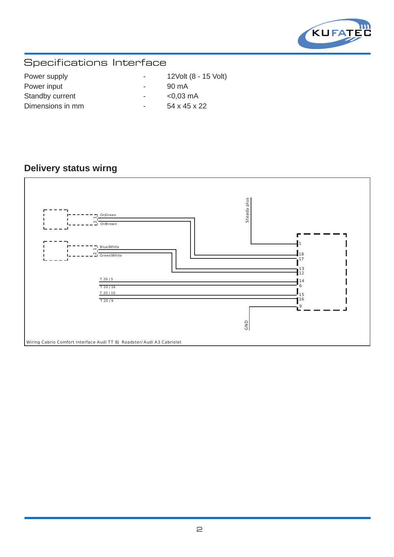

## Specifications Interface

| Power supply     | $\overline{\phantom{0}}$ | 12Volt (8 - 15 Volt) |
|------------------|--------------------------|----------------------|
| Power input      | $\overline{\phantom{a}}$ | 90 mA                |
| Standby current  | $\overline{\phantom{a}}$ | $< 0.03$ mA          |
| Dimensions in mm | $\overline{\phantom{a}}$ | 54 x 45 x 22         |

### **Delivery status wirng**

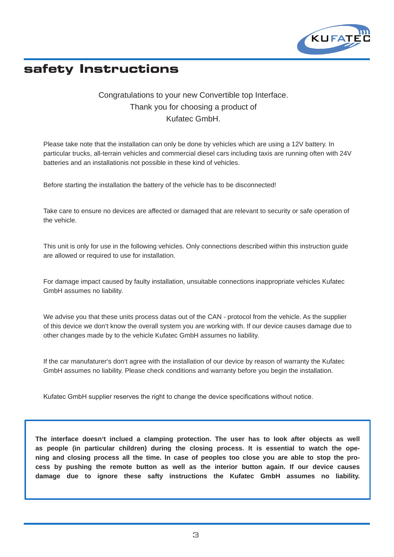

## **safety Instructions**

#### Congratulations to your new Convertible top Interface. Thank you for choosing a product of Kufatec GmbH.

Please take note that the installation can only be done by vehicles which are using a 12V battery. In particular trucks, all-terrain vehicles and commercial diesel cars including taxis are running often with 24V batteries and an installationis not possible in these kind of vehicles.

Before starting the installation the battery of the vehicle has to be disconnected!

Take care to ensure no devices are affected or damaged that are relevant to security or safe operation of the vehicle.

This unit is only for use in the following vehicles. Only connections described within this instruction guide are allowed or required to use for installation.

For damage impact caused by faulty installation, unsuitable connections inappropriate vehicles Kufatec GmbH assumes no liability.

We advise you that these units process datas out of the CAN - protocol from the vehicle. As the supplier of this device we don't know the overall system you are working with. If our device causes damage due to other changes made by to the vehicle Kufatec GmbH assumes no liability.

If the car manufaturer's don't agree with the installation of our device by reason of warranty the Kufatec GmbH assumes no liability. Please check conditions and warranty before you begin the installation.

Kufatec GmbH supplier reserves the right to change the device specifications without notice.

**The interface doesn't inclued a clamping protection. The user has to look after objects as well as people (in particular children) during the closing process. It is essential to watch the opening and closing process all the time. In case of peoples too close you are able to stop the process by pushing the remote button as well as the interior button again. If our device causes damage due to ignore these safty instructions the Kufatec GmbH assumes no liability.**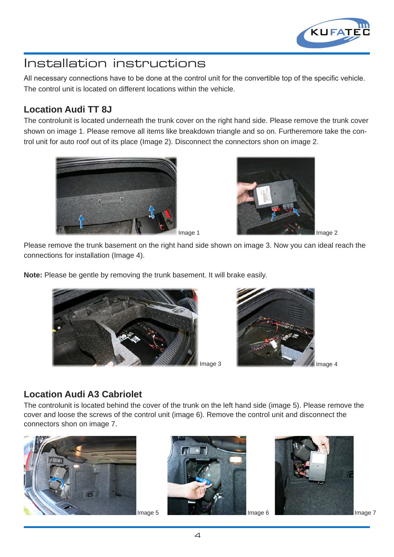

All necessary connections have to be done at the control unit for the convertible top of the specific vehicle. The control unit is located on different locations within the vehicle.

### **Location Audi TT 8J**

The controlunit is located underneath the trunk cover on the right hand side. Please remove the trunk cover shown on image 1. Please remove all items like breakdown triangle and so on. Furtheremore take the control unit for auto roof out of its place (Image 2). Disconnect the connectors shon on image 2.





Please remove the trunk basement on the right hand side shown on image 3. Now you can ideal reach the connections for installation (Image 4).

**Note:** Please be gentle by removing the trunk basement. It will brake easily.





### **Location Audi A3 Cabriolet**

The controlunit is located behind the cover of the trunk on the left hand side (image 5). Please remove the cover and loose the screws of the control unit (image 6). Remove the control unit and disconnect the connectors shon on image 7.





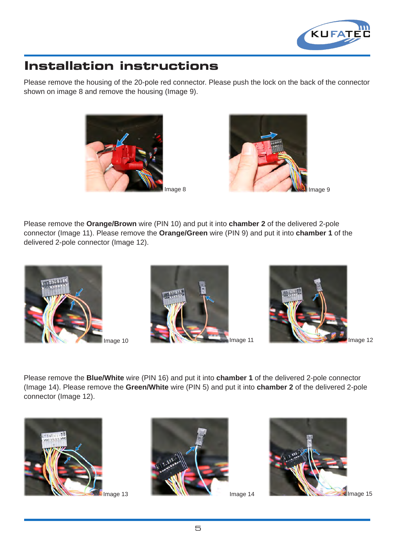

Please remove the housing of the 20-pole red connector. Please push the lock on the back of the connector shown on image 8 and remove the housing (Image 9).





Please remove the **Orange/Brown** wire (PIN 10) and put it into **chamber 2** of the delivered 2-pole connector (Image 11). Please remove the **Orange/Green** wire (PIN 9) and put it into **chamber 1** of the delivered 2-pole connector (Image 12).



mage 10





Image 12

Please remove the **Blue/White** wire (PIN 16) and put it into **chamber 1** of the delivered 2-pole connector (Image 14). Please remove the **Green/White** wire (PIN 5) and put it into **chamber 2** of the delivered 2-pole connector (Image 12).





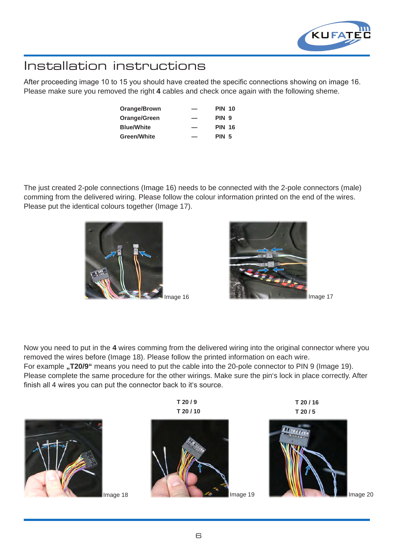

After proceeding image 10 to 15 you should have created the specific connections showing on image 16. Please make sure you removed the right **4** cables and check once again with the following sheme.

| Orange/Brown      | _  | <b>PIN 10</b>    |  |
|-------------------|----|------------------|--|
| Orange/Green      | -- | PIN <sub>9</sub> |  |
| <b>Blue/White</b> | -- | <b>PIN 16</b>    |  |
| Green/White       | _  | <b>PIN 5</b>     |  |

The just created 2-pole connections (Image 16) needs to be connected with the 2-pole connectors (male) comming from the delivered wiring. Please follow the colour information printed on the end of the wires. Please put the identical colours together (Image 17).





Now you need to put in the **4** wires comming from the delivered wiring into the original connector where you removed the wires before (Image 18). Please follow the printed information on each wire. For example **"T20/9**" means you need to put the cable into the 20-pole connector to PIN 9 (Image 19).

Please complete the same procedure for the other wirings. Make sure the pin's lock in place correctly. After finish all 4 wires you can put the connector back to it's source.

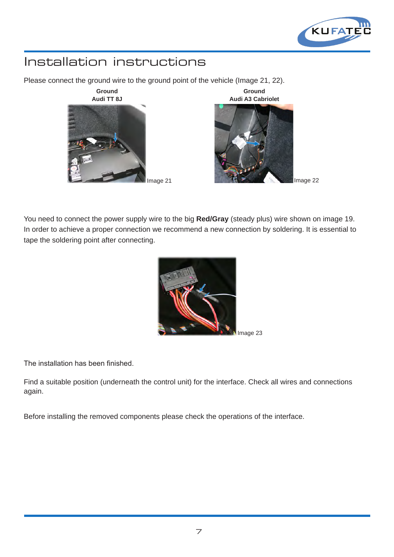

Please connect the ground wire to the ground point of the vehicle (Image 21, 22).



You need to connect the power supply wire to the big **Red/Gray** (steady plus) wire shown on image 19. In order to achieve a proper connection we recommend a new connection by soldering. It is essential to tape the soldering point after connecting.



The installation has been finished.

Find a suitable position (underneath the control unit) for the interface. Check all wires and connections again.

Before installing the removed components please check the operations of the interface.